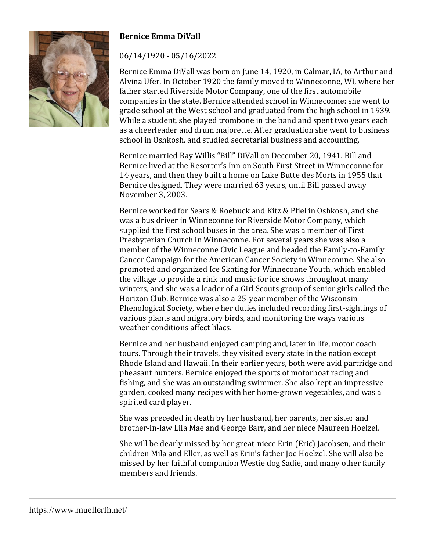

## **Bernice Emma DiVall**

## 06/14/1920 - 05/16/2022

Bernice Emma DiVall was born on June 14, 1920, in Calmar, IA, to Arthur and Alvina Ufer. In October 1920 the family moved to Winneconne, WI, where her father started Riverside Motor Company, one of the first automobile companies in the state. Bernice attended school in Winneconne: she went to grade school at the West school and graduated from the high school in 1939. While a student, she played trombone in the band and spent two years each as a cheerleader and drum majorette. After graduation she went to business school in Oshkosh, and studied secretarial business and accounting.

Bernice married Ray Willis "Bill" DiVall on December 20, 1941. Bill and Bernice lived at the Resorter's Inn on South First Street in Winneconne for 14 years, and then they built a home on Lake Butte des Morts in 1955 that Bernice designed. They were married 63 years, until Bill passed away November 3, 2003.

Bernice worked for Sears & Roebuck and Kitz & Pfiel in Oshkosh, and she was a bus driver in Winneconne for Riverside Motor Company, which supplied the first school buses in the area. She was a member of First Presbyterian Church in Winneconne. For several years she was also a member of the Winneconne Civic League and headed the Family-to-Family Cancer Campaign for the American Cancer Society in Winneconne. She also promoted and organized Ice Skating for Winneconne Youth, which enabled the village to provide a rink and music for ice shows throughout many winters, and she was a leader of a Girl Scouts group of senior girls called the Horizon Club. Bernice was also a 25-year member of the Wisconsin Phenological Society, where her duties included recording first-sightings of various plants and migratory birds, and monitoring the ways various weather conditions affect lilacs.

Bernice and her husband enjoyed camping and, later in life, motor coach tours. Through their travels, they visited every state in the nation except Rhode Island and Hawaii. In their earlier years, both were avid partridge and pheasant hunters. Bernice enjoyed the sports of motorboat racing and fishing, and she was an outstanding swimmer. She also kept an impressive garden, cooked many recipes with her home-grown vegetables, and was a spirited card player.

She was preceded in death by her husband, her parents, her sister and brother-in-law Lila Mae and George Barr, and her niece Maureen Hoelzel.

She will be dearly missed by her great-niece Erin (Eric) Jacobsen, and their children Mila and Eller, as well as Erin's father Joe Hoelzel. She will also be missed by her faithful companion Westie dog Sadie, and many other family members and friends.